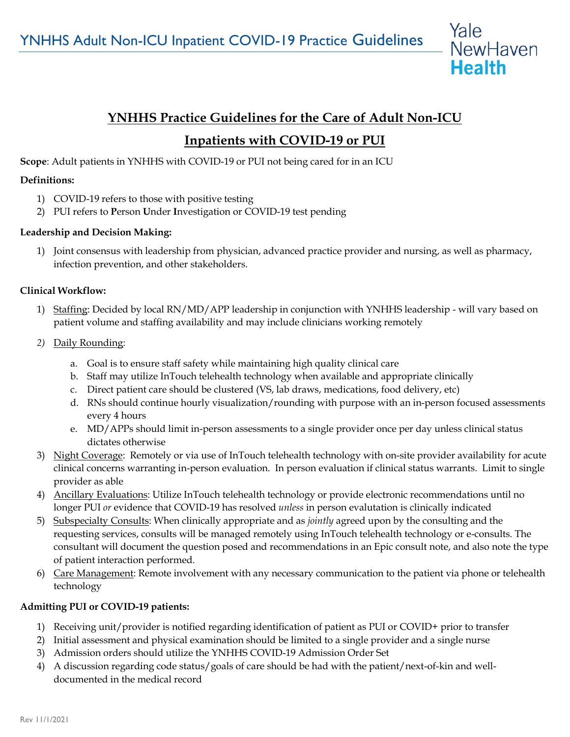

# **YNHHS Practice Guidelines for the Care of Adult Non-ICU**

## **Inpatients with COVID-19 or PUI**

**Scope**: Adult patients in YNHHS with COVID-19 or PUI not being cared for in an ICU

## **Definitions:**

- 1) COVID-19 refers to those with positive testing
- 2) PUI refers to **P**erson **U**nder **I**nvestigation or COVID-19 test pending

## **Leadership and Decision Making:**

1) Joint consensus with leadership from physician, advanced practice provider and nursing, as well as pharmacy, infection prevention, and other stakeholders.

#### **Clinical Workflow:**

- 1) Staffing: Decided by local RN/MD/APP leadership in conjunction with YNHHS leadership will vary based on patient volume and staffing availability and may include clinicians working remotely
- *2)* Daily Rounding:
	- a. Goal is to ensure staff safety while maintaining high quality clinical care
	- b. Staff may utilize InTouch telehealth technology when available and appropriate clinically
	- c. Direct patient care should be clustered (VS, lab draws, medications, food delivery, etc)
	- d. RNs should continue hourly visualization/rounding with purpose with an in-person focused assessments every 4 hours
	- e. MD/APPs should limit in-person assessments to a single provider once per day unless clinical status dictates otherwise
- 3) Night Coverage: Remotely or via use of InTouch telehealth technology with on-site provider availability for acute clinical concerns warranting in-person evaluation. In person evaluation if clinical status warrants. Limit to single provider as able
- 4) Ancillary Evaluations: Utilize InTouch telehealth technology or provide electronic recommendations until no longer PUI *or* evidence that COVID-19 has resolved *unless* in person evalutation is clinically indicated
- 5) Subspecialty Consults: When clinically appropriate and as *jointly* agreed upon by the consulting and the requesting services, consults will be managed remotely using InTouch telehealth technology or e-consults. The consultant will document the question posed and recommendations in an Epic consult note, and also note the type of patient interaction performed.
- 6) Care Management: Remote involvement with any necessary communication to the patient via phone or telehealth technology

## **Admitting PUI or COVID-19 patients:**

- 1) Receiving unit/provider is notified regarding identification of patient as PUI or COVID+ prior to transfer
- 2) Initial assessment and physical examination should be limited to a single provider and a single nurse
- 3) Admission orders should utilize the YNHHS COVID-19 Admission Order Set
- 4) A discussion regarding code status/goals of care should be had with the patient/next-of-kin and welldocumented in the medical record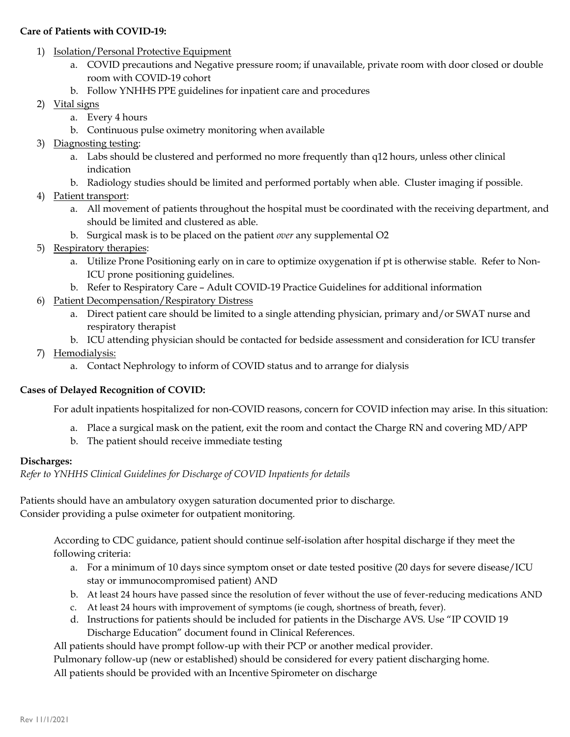#### **Care of Patients with COVID-19:**

- 1) Isolation/Personal Protective Equipment
	- a. COVID precautions and Negative pressure room; if unavailable, private room with door closed or double room with COVID-19 cohort
	- b. Follow YNHHS PPE guidelines for inpatient care and procedures
- 2) Vital signs
	- a. Every 4 hours
	- b. Continuous pulse oximetry monitoring when available
- 3) Diagnosting testing:
	- a. Labs should be clustered and performed no more frequently than q12 hours, unless other clinical indication
	- b. Radiology studies should be limited and performed portably when able. Cluster imaging if possible.
- 4) Patient transport:
	- a. All movement of patients throughout the hospital must be coordinated with the receiving department, and should be limited and clustered as able.
	- b. Surgical mask is to be placed on the patient *over* any supplemental O2
- 5) Respiratory therapies:
	- a. Utilize Prone Positioning early on in care to optimize oxygenation if pt is otherwise stable. Refer to Non-ICU prone positioning guidelines.
	- b. Refer to Respiratory Care Adult COVID-19 Practice Guidelines for additional information
- 6) Patient Decompensation/Respiratory Distress
	- a. Direct patient care should be limited to a single attending physician, primary and/or SWAT nurse and respiratory therapist
	- b. ICU attending physician should be contacted for bedside assessment and consideration for ICU transfer
- 7) Hemodialysis:
	- a. Contact Nephrology to inform of COVID status and to arrange for dialysis

#### **Cases of Delayed Recognition of COVID:**

For adult inpatients hospitalized for non-COVID reasons, concern for COVID infection may arise. In this situation:

- a. Place a surgical mask on the patient, exit the room and contact the Charge RN and covering MD/APP
- b. The patient should receive immediate testing

#### **Discharges:**

*Refer to YNHHS Clinical Guidelines for Discharge of COVID Inpatients for details* 

Patients should have an ambulatory oxygen saturation documented prior to discharge*.* Consider providing a pulse oximeter for outpatient monitoring.

According to CDC guidance, patient should continue self-isolation after hospital discharge if they meet the following criteria:

- a. For a minimum of 10 days since symptom onset or date tested positive (20 days for severe disease/ICU stay or immunocompromised patient) AND
- b. At least 24 hours have passed since the resolution of fever without the use of fever-reducing medications AND
- c. At least 24 hours with improvement of symptoms (ie cough, shortness of breath, fever).
- d. Instructions for patients should be included for patients in the Discharge AVS. Use "IP COVID 19 Discharge Education" document found in Clinical References.

All patients should have prompt follow-up with their PCP or another medical provider.

Pulmonary follow-up (new or established) should be considered for every patient discharging home.

All patients should be provided with an Incentive Spirometer on discharge